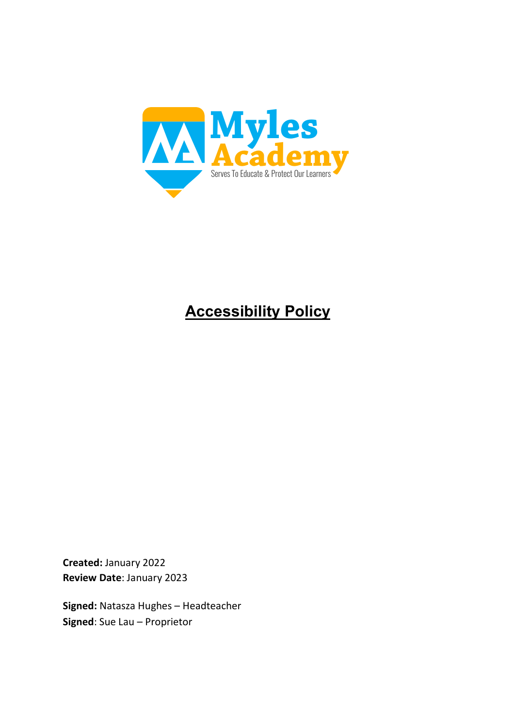

# **Accessibility Policy**

**Created:** January 2022 **Review Date**: January 2023

**Signed:** Natasza Hughes – Headteacher **Signed**: Sue Lau – Proprietor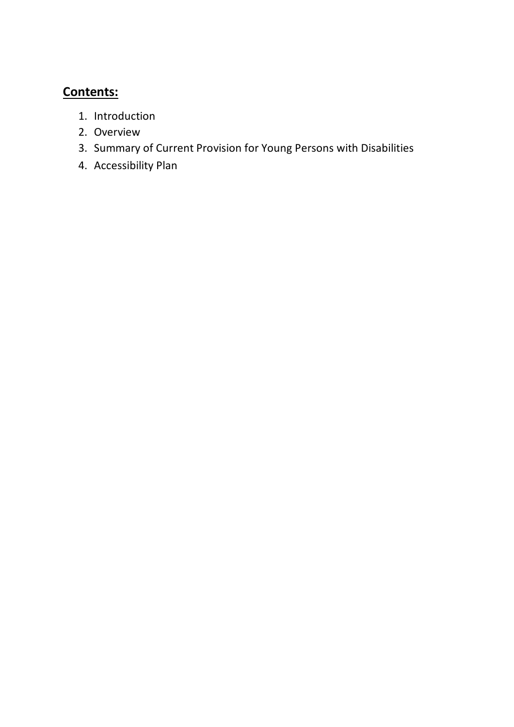# **Contents:**

- 1. Introduction
- 2. Overview
- 3. Summary of Current Provision for Young Persons with Disabilities
- 4. Accessibility Plan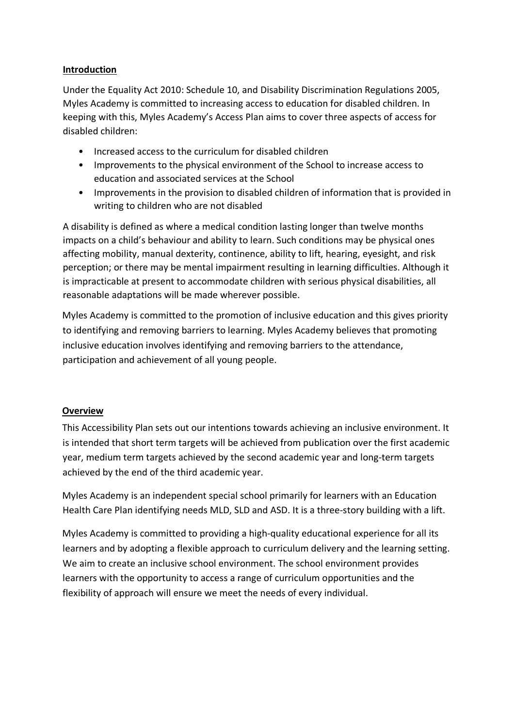#### **Introduction**

Under the Equality Act 2010: Schedule 10, and Disability Discrimination Regulations 2005, Myles Academy is committed to increasing access to education for disabled children. In keeping with this, Myles Academy's Access Plan aims to cover three aspects of access for disabled children:

- Increased access to the curriculum for disabled children
- Improvements to the physical environment of the School to increase access to education and associated services at the School
- Improvements in the provision to disabled children of information that is provided in writing to children who are not disabled

A disability is defined as where a medical condition lasting longer than twelve months impacts on a child's behaviour and ability to learn. Such conditions may be physical ones affecting mobility, manual dexterity, continence, ability to lift, hearing, eyesight, and risk perception; or there may be mental impairment resulting in learning difficulties. Although it is impracticable at present to accommodate children with serious physical disabilities, all reasonable adaptations will be made wherever possible.

Myles Academy is committed to the promotion of inclusive education and this gives priority to identifying and removing barriers to learning. Myles Academy believes that promoting inclusive education involves identifying and removing barriers to the attendance, participation and achievement of all young people.

#### **Overview**

This Accessibility Plan sets out our intentions towards achieving an inclusive environment. It is intended that short term targets will be achieved from publication over the first academic year, medium term targets achieved by the second academic year and long-term targets achieved by the end of the third academic year.

Myles Academy is an independent special school primarily for learners with an Education Health Care Plan identifying needs MLD, SLD and ASD. It is a three-story building with a lift.

Myles Academy is committed to providing a high-quality educational experience for all its learners and by adopting a flexible approach to curriculum delivery and the learning setting. We aim to create an inclusive school environment. The school environment provides learners with the opportunity to access a range of curriculum opportunities and the flexibility of approach will ensure we meet the needs of every individual.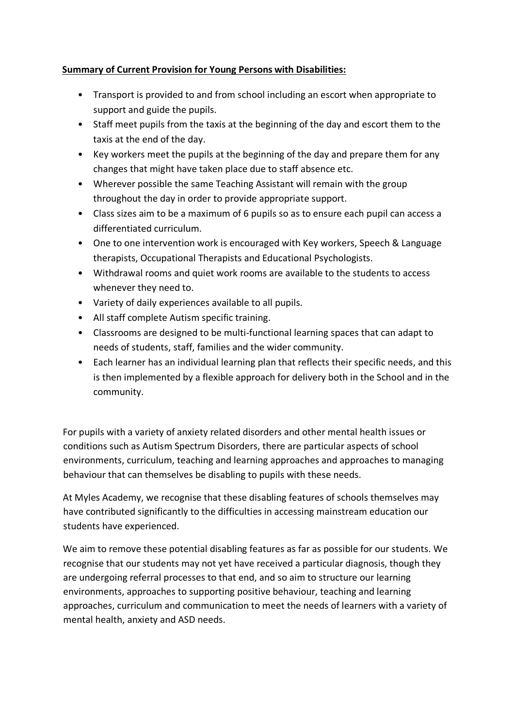## **Summary of Current Provision for Young Persons with Disabilities:**

- Transport is provided to and from school including an escort when appropriate to support and guide the pupils.
- Staff meet pupils from the taxis at the beginning of the day and escort them to the taxis at the end of the day.
- Key workers meet the pupils at the beginning of the day and prepare them for any changes that might have taken place due to staff absence etc.
- Wherever possible the same Teaching Assistant will remain with the group throughout the day in order to provide appropriate support.
- Class sizes aim to be a maximum of 6 pupils so as to ensure each pupil can access a differentiated curriculum.
- One to one intervention work is encouraged with Key workers, Speech & Language therapists, Occupational Therapists and Educational Psychologists.
- Withdrawal rooms and quiet work rooms are available to the students to access whenever they need to.
- Variety of daily experiences available to all pupils.
- All staff complete Autism specific training.
- Classrooms are designed to be multi-functional learning spaces that can adapt to needs of students, staff, families and the wider community.
- Each learner has an individual learning plan that reflects their specific needs, and this is then implemented by a flexible approach for delivery both in the School and in the community.

For pupils with a variety of anxiety related disorders and other mental health issues or conditions such as Autism Spectrum Disorders, there are particular aspects of school environments, curriculum, teaching and learning approaches and approaches to managing behaviour that can themselves be disabling to pupils with these needs.

At Myles Academy, we recognise that these disabling features of schools themselves may have contributed significantly to the difficulties in accessing mainstream education our students have experienced.

We aim to remove these potential disabling features as far as possible for our students. We recognise that our students may not yet have received a particular diagnosis, though they are undergoing referral processes to that end, and so aim to structure our learning environments, approaches to supporting positive behaviour, teaching and learning approaches, curriculum and communication to meet the needs of learners with a variety of mental health, anxiety and ASD needs.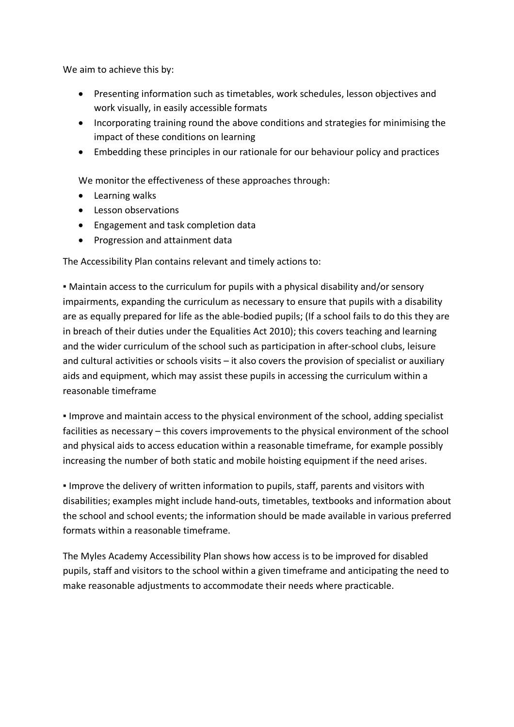We aim to achieve this by:

- Presenting information such as timetables, work schedules, lesson objectives and work visually, in easily accessible formats
- Incorporating training round the above conditions and strategies for minimising the impact of these conditions on learning
- Embedding these principles in our rationale for our behaviour policy and practices

We monitor the effectiveness of these approaches through:

- Learning walks
- Lesson observations
- Engagement and task completion data
- Progression and attainment data

The Accessibility Plan contains relevant and timely actions to:

▪ Maintain access to the curriculum for pupils with a physical disability and/or sensory impairments, expanding the curriculum as necessary to ensure that pupils with a disability are as equally prepared for life as the able-bodied pupils; (If a school fails to do this they are in breach of their duties under the Equalities Act 2010); this covers teaching and learning and the wider curriculum of the school such as participation in after-school clubs, leisure and cultural activities or schools visits – it also covers the provision of specialist or auxiliary aids and equipment, which may assist these pupils in accessing the curriculum within a reasonable timeframe

▪ Improve and maintain access to the physical environment of the school, adding specialist facilities as necessary – this covers improvements to the physical environment of the school and physical aids to access education within a reasonable timeframe, for example possibly increasing the number of both static and mobile hoisting equipment if the need arises.

**.** Improve the delivery of written information to pupils, staff, parents and visitors with disabilities; examples might include hand-outs, timetables, textbooks and information about the school and school events; the information should be made available in various preferred formats within a reasonable timeframe.

The Myles Academy Accessibility Plan shows how access is to be improved for disabled pupils, staff and visitors to the school within a given timeframe and anticipating the need to make reasonable adjustments to accommodate their needs where practicable.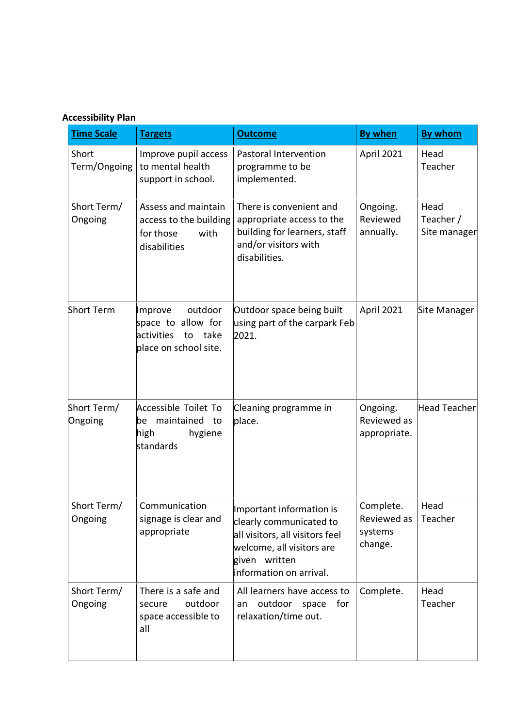## **Accessibility Plan**

| <b>Time Scale</b>      | <b>Targets</b>                                                                                | <b>Outcome</b>                                                                                                                                                  | <b>By when</b>                                 | <b>By whom</b>                    |
|------------------------|-----------------------------------------------------------------------------------------------|-----------------------------------------------------------------------------------------------------------------------------------------------------------------|------------------------------------------------|-----------------------------------|
| Short<br>Term/Ongoing  | Improve pupil access<br>to mental health<br>support in school.                                | Pastoral Intervention<br>programme to be<br>implemented.                                                                                                        | April 2021                                     | Head<br>Teacher                   |
| Short Term/<br>Ongoing | Assess and maintain<br>access to the building<br>for those<br>with<br>disabilities            | There is convenient and<br>appropriate access to the<br>building for learners, staff<br>and/or visitors with<br>disabilities.                                   | Ongoing.<br>Reviewed<br>annually.              | Head<br>Teacher /<br>Site manager |
| <b>Short Term</b>      | outdoor<br>Improve<br>space to allow for<br>activities<br>take<br>to<br>place on school site. | Outdoor space being built<br>using part of the carpark Feb<br>2021.                                                                                             | April 2021                                     | Site Manager                      |
| Short Term/<br>Ongoing | Accessible Toilet To<br>maintained to<br>be<br>high<br>hygiene<br>standards                   | Cleaning programme in<br>place.                                                                                                                                 | Ongoing.<br>Reviewed as<br>appropriate.        | <b>Head Teacher</b>               |
| Short Term/<br>Ongoing | Communication<br>signage is clear and<br>appropriate                                          | Important information is<br>clearly communicated to<br>all visitors, all visitors feel<br>welcome, all visitors are<br>given written<br>information on arrival. | Complete.<br>Reviewed as<br>systems<br>change. | Head<br>Teacher                   |
| Short Term/<br>Ongoing | There is a safe and<br>outdoor<br>secure<br>space accessible to<br>all                        | All learners have access to<br>for<br>outdoor space<br>an<br>relaxation/time out.                                                                               | Complete.                                      | Head<br>Teacher                   |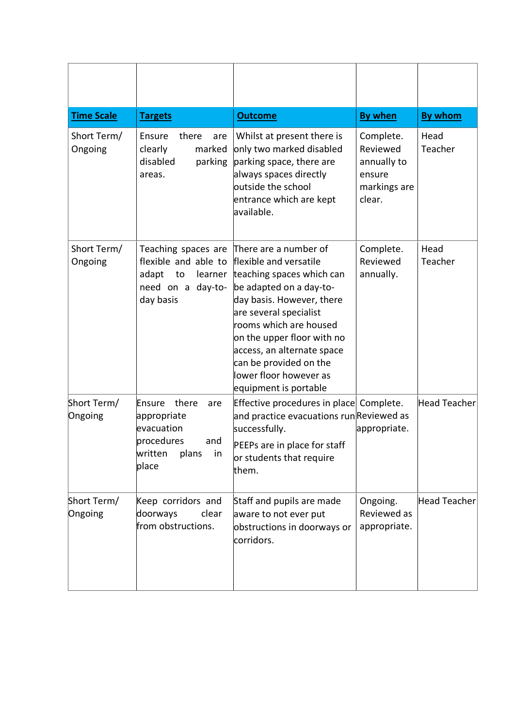| <b>Time Scale</b>      | <b>Targets</b>                                                                                              | <b>Outcome</b>                                                                                                                                                                                                                                                                                                                    | <b>By when</b>                                                           | <b>By whom</b>      |
|------------------------|-------------------------------------------------------------------------------------------------------------|-----------------------------------------------------------------------------------------------------------------------------------------------------------------------------------------------------------------------------------------------------------------------------------------------------------------------------------|--------------------------------------------------------------------------|---------------------|
| Short Term/<br>Ongoing | Ensure<br>there<br>are<br>marked<br>clearly<br>disabled<br>parking<br>areas.                                | Whilst at present there is<br>only two marked disabled<br>parking space, there are<br>always spaces directly<br>outside the school<br>entrance which are kept<br>available.                                                                                                                                                       | Complete.<br>Reviewed<br>annually to<br>ensure<br>markings are<br>clear. | Head<br>Teacher     |
| Short Term/<br>Ongoing | Teaching spaces are<br>flexible and able to<br>adapt<br>to<br>learner<br>need on a day-to-<br>day basis     | There are a number of<br>flexible and versatile<br>teaching spaces which can<br>be adapted on a day-to-<br>day basis. However, there<br>are several specialist<br>rooms which are housed<br>on the upper floor with no<br>access, an alternate space<br>can be provided on the<br>lower floor however as<br>equipment is portable | Complete.<br>Reviewed<br>annually.                                       | Head<br>Teacher     |
| Short Term/<br>Ongoing | there<br>Ensure<br>are<br>appropriate<br>evacuation<br>procedures<br>and<br>written<br>plans<br>in<br>place | Effective procedures in place Complete.<br>and practice evacuations run Reviewed as<br>successfully.<br>PEEPs are in place for staff<br>or students that require<br>them.                                                                                                                                                         | appropriate.                                                             | Head Teacher        |
| Short Term/<br>Ongoing | Keep corridors and<br>doorways<br>clear<br>from obstructions.                                               | Staff and pupils are made<br>aware to not ever put<br>obstructions in doorways or<br>corridors.                                                                                                                                                                                                                                   | Ongoing.<br>Reviewed as<br>appropriate.                                  | <b>Head Teacher</b> |